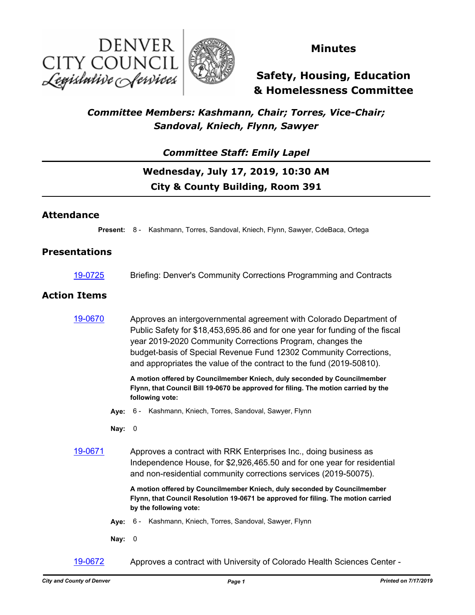



### **Minutes**

**Safety, Housing, Education & Homelessness Committee**

### *Committee Members: Kashmann, Chair; Torres, Vice-Chair; Sandoval, Kniech, Flynn, Sawyer*

### *Committee Staff: Emily Lapel*

# **Wednesday, July 17, 2019, 10:30 AM City & County Building, Room 391**

#### **Attendance**

**Present:** 8 - Kashmann, Torres, Sandoval, Kniech, Flynn, Sawyer, CdeBaca, Ortega

#### **Presentations**

[19-0725](http://denver.legistar.com/gateway.aspx?m=l&id=/matter.aspx?key=15266) Briefing: Denver's Community Corrections Programming and Contracts

#### **Action Items**

[19-0670](http://denver.legistar.com/gateway.aspx?m=l&id=/matter.aspx?key=15211) Approves an intergovernmental agreement with Colorado Department of Public Safety for \$18,453,695.86 and for one year for funding of the fiscal year 2019-2020 Community Corrections Program, changes the budget-basis of Special Revenue Fund 12302 Community Corrections, and appropriates the value of the contract to the fund (2019-50810).

> **A motion offered by Councilmember Kniech, duly seconded by Councilmember Flynn, that Council Bill 19-0670 be approved for filing. The motion carried by the following vote:**

- **Aye:** 6 Kashmann, Kniech, Torres, Sandoval, Sawyer, Flynn
- **Nay:** 0
- [19-0671](http://denver.legistar.com/gateway.aspx?m=l&id=/matter.aspx?key=15212) Approves a contract with RRK Enterprises Inc., doing business as Independence House, for \$2,926,465.50 and for one year for residential and non-residential community corrections services (2019-50075).

**A motion offered by Councilmember Kniech, duly seconded by Councilmember Flynn, that Council Resolution 19-0671 be approved for filing. The motion carried by the following vote:**

- **Aye:** 6 Kashmann, Kniech, Torres, Sandoval, Sawyer, Flynn
- **Nay:** 0
- [19-0672](http://denver.legistar.com/gateway.aspx?m=l&id=/matter.aspx?key=15213) Approves a contract with University of Colorado Health Sciences Center -